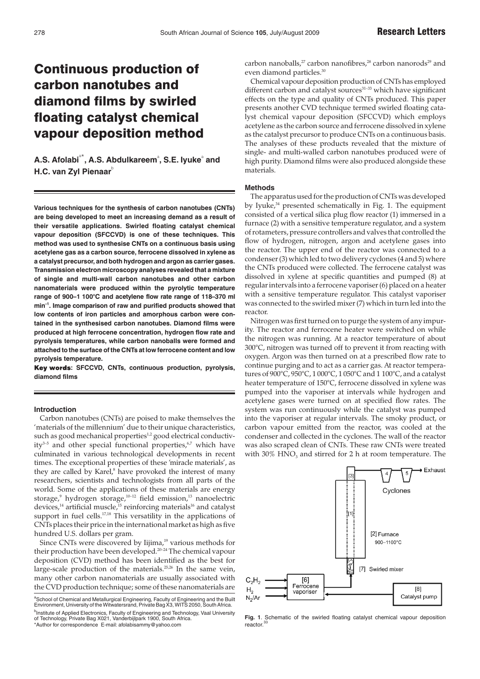# Continuous production of carbon nanotubes and diamond films by swirled floating catalyst chemical vapour deposition method

A.S. Afolabi<sup>a\*</sup>, A.S. Abdulkareem<sup>a</sup>, S.E. lyuke<sup>a</sup> and **H.C. van Zyl Pienaar** 

**Various techniques for the synthesis of carbon nanotubes (CNTs) are being developed to meet an increasing demand as a result of their versatile applications. Swirled floating catalyst chemical vapour deposition (SFCCVD) is one of these techniques. This method was used to synthesise CNTs on a continuous basis using acetylene gas as a carbon source, ferrocene dissolved in xylene as a catalyst precursor, and both hydrogen and argon as carrier gases. Transmission electron microscopy analyses revealed that a mixture of single and multi-wall carbon nanotubes and other carbon nanomaterials were produced within the pyrolytic temperature range of 900–1 100°C and acetylene flow rate range of 118–370 ml min–1. Image comparison of raw and purified products showed that low contents of iron particles and amorphous carbon were contained in the synthesised carbon nanotubes. Diamond films were produced at high ferrocene concentration, hydrogen flow rate and pyrolysis temperatures, while carbon nanoballs were formed and attached to the surface of the CNTs at low ferrocene content and low pyrolysis temperature.**

**: SFCCVD, CNTs, continuous production, pyrolysis, diamond films**

## **Introduction**

Carbon nanotubes (CNTs) are poised to make themselves the 'materials of the millennium' due to their unique characteristics, such as good mechanical properties<sup>1,2</sup> good electrical conductivity<sup>3-5</sup> and other special functional properties,<sup>6,7</sup> which have culminated in various technological developments in recent times. The exceptional properties of these 'miracle materials', as they are called by Karel,<sup>8</sup> have provoked the interest of many researchers, scientists and technologists from all parts of the world. Some of the applications of these materials are energy storage,<sup>9</sup> hydrogen storage,<sup>10-12</sup> field emission,<sup>13</sup> nanoelectric devices,<sup>14</sup> artificial muscle,<sup>15</sup> reinforcing materials<sup>16</sup> and catalyst support in fuel cells.<sup>17,18</sup> This versatility in the applications of CNTs places their price in the international market as high as five hundred U.S. dollars per gram.

Since CNTs were discovered by Iijima,<sup>19</sup> various methods for their production have been developed.20–24 The chemical vapour deposition (CVD) method has been identified as the best for large-scale production of the materials.<sup>25,26</sup> In the same vein, many other carbon nanomaterials are usually associated with the CVD production technique; some of these nanomaterials are

a<br>School of Chemical and Metallurgical Engineering, Faculty of Engineering and the Built<br>Environment, University of the Witwatersrand, Private Bag X3, WITS 2050, South Africa. <sup>b</sup>Institute of Applied Electronics, Faculty of Engineering and Technology, Vaal University<br>of Technology, Private Bag X021, Vanderbijlpark 1900, South Africa.<br>\*Author for correspondence E-mail: afolabisammy@yahoo.com

carbon nanoballs, $^{27}$  carbon nanofibres, $^{28}$  carbon nanorods $^{29}$  and even diamond particles.<sup>30</sup>

Chemical vapour deposition production of CNTs has employed different carbon and catalyst sources<sup>31-33</sup> which have significant effects on the type and quality of CNTs produced. This paper presents another CVD technique termed swirled floating catalyst chemical vapour deposition (SFCCVD) which employs acetylene as the carbon source and ferrocene dissolved in xylene as the catalyst precursor to produce CNTs on a continuous basis. The analyses of these products revealed that the mixture of single- and multi-walled carbon nanotubes produced were of high purity. Diamond films were also produced alongside these materials.

#### **Methods**

The apparatus used for the production of CNTs was developed by Iyuke, $34$  presented schematically in Fig. 1. The equipment consisted of a vertical silica plug flow reactor (1) immersed in a furnace (2) with a sensitive temperature regulator, and a system of rotameters, pressure controllers and valves that controlled the flow of hydrogen, nitrogen, argon and acetylene gases into the reactor. The upper end of the reactor was connected to a condenser (3) which led to two delivery cyclones (4 and 5) where the CNTs produced were collected. The ferrocene catalyst was dissolved in xylene at specific quantities and pumped (8) at regular intervals into a ferrocene vaporiser (6) placed on a heater with a sensitive temperature regulator. This catalyst vaporiser was connected to the swirled mixer (7) which in turn led into the reactor.

Nitrogen was first turned on to purge the system of any impurity. The reactor and ferrocene heater were switched on while the nitrogen was running. At a reactor temperature of about 300°C, nitrogen was turned off to prevent it from reacting with oxygen. Argon was then turned on at a prescribed flow rate to continue purging and to act as a carrier gas. At reactor temperatures of 900°C, 950°C, 1 000°C, 1 050°C and 1 100°C, and a catalyst heater temperature of 150°C, ferrocene dissolved in xylene was pumped into the vaporiser at intervals while hydrogen and acetylene gases were turned on at specified flow rates. The system was run continuously while the catalyst was pumped into the vaporiser at regular intervals. The smoky product, or carbon vapour emitted from the reactor, was cooled at the condenser and collected in the cyclones. The wall of the reactor was also scraped clean of CNTs. These raw CNTs were treated with 30%  $HNO<sub>3</sub>$  and stirred for 2 h at room temperature. The



**Fig. 1**. Schematic of the swirled floating catalyst chemical vapour deposition reactor.<sup>3</sup>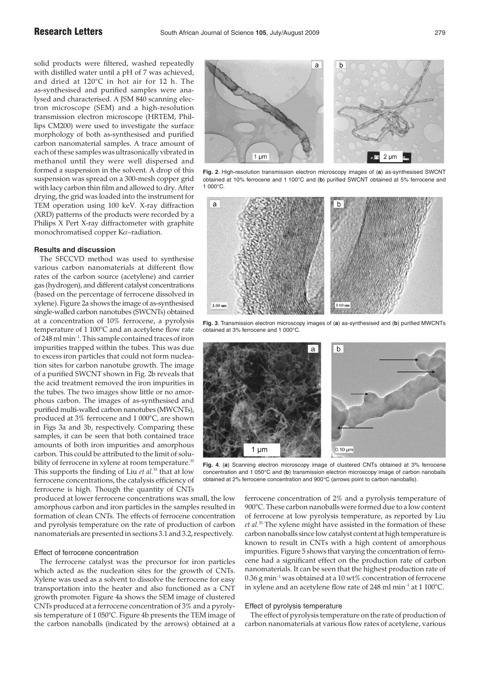solid products were filtered, washed repeatedly with distilled water until a pH of 7 was achieved, and dried at 120°C in hot air for 12 h. The as-synthesised and purified samples were analysed and characterised. A JSM 840 scanning electron microscope (SEM) and a high-resolution transmission electron microscope (HRTEM, Phillips CM200) were used to investigate the surface morphology of both as-synthesised and purified carbon nanomaterial samples. A trace amount of each of these samples was ultrasonically vibrated in methanol until they were well dispersed and formed a suspension in the solvent. A drop of this suspension was spread on a 300-mesh copper grid with lacy carbon thin film and allowed to dry. After drying, the grid was loaded into the instrument for TEM operation using 100 keV. X-ray diffraction (XRD) patterns of the products were recorded by a Philips X Pert X-ray diffractometer with graphite monochromatised copper Kα–radiation.

## **Results and discussion**

The SFCCVD method was used to synthesise various carbon nanomaterials at different flow rates of the carbon source (acetylene) and carrier gas (hydrogen), and different catalyst concentrations (based on the percentage of ferrocene dissolved in xylene). Figure 2a shows the image of as-synthesised single-walled carbon nanotubes (SWCNTs) obtained at a concentration of 10% ferrocene, a pyrolysis temperature of 1 100°C and an acetylene flow rate of 248 ml min–1. This sample contained traces of iron impurities trapped within the tubes. This was due to excess iron particles that could not form nucleation sites for carbon nanotube growth. The image of a purified SWCNT shown in Fig. 2b reveals that the acid treatment removed the iron impurities in the tubes. The two images show little or no amorphous carbon. The images of as-synthesised and purified multi-walled carbon nanotubes (MWCNTs), produced at 3% ferrocene and 1 000°C, are shown in Figs 3a and 3b, respectively. Comparing these samples, it can be seen that both contained trace amounts of both iron impurities and amorphous carbon. This could be attributed to the limit of solubility of ferrocene in xylene at room temperature.<sup>35</sup> This supports the finding of Liu *et al.*<sup>35</sup> that at low ferrocene concentrations, the catalysis efficiency of ferrocene is high. Though the quantity of CNTs

produced at lower ferrocene concentrations was small, the low amorphous carbon and iron particles in the samples resulted in formation of clean CNTs. The effects of ferrocene concentration and pyrolysis temperature on the rate of production of carbon nanomaterials are presented in sections 3.1 and 3.2, respectively.

## Effect of ferrocene concentration

The ferrocene catalyst was the precursor for iron particles which acted as the nucleation sites for the growth of CNTs. Xylene was used as a solvent to dissolve the ferrocene for easy transportation into the heater and also functioned as a CNT growth promoter. Figure 4a shows the SEM image of clustered CNTs produced at a ferrocene concentration of 3% and a pyrolysis temperature of 1 050°C. Figure 4b presents the TEM image of the carbon nanoballs (indicated by the arrows) obtained at a



**Fig. 2**. High-resolution transmission electron microscopy images of (**a**) as-synthesised SWCNT obtained at 10% ferrocene and 1 100°C and (**b**) purified SWCNT obtained at 5% ferrocene and 1 000°C.



**Fig. 3**. Transmission electron microscopy images of (**a**) as-synthesised and (**b**) purified MWCNTs obtained at 3% ferrocene and 1 000°C.



**Fig. 4**. (**a**) Scanning electron microscopy image of clustered CNTs obtained at 3% ferrocene concentration and 1 050°C and (**b**) transmission electron microscopy image of carbon nanoballs obtained at 2% ferrocene concentration and 900°C (arrows point to carbon nanoballs).

ferrocene concentration of 2% and a pyrolysis temperature of 900°C. These carbon nanoballs were formed due to a low content of ferrocene at low pyrolysis temperature, as reported by Liu *et al.*<sup>35</sup> The xylene might have assisted in the formation of these carbon nanoballs since low catalyst content at high temperature is known to result in CNTs with a high content of amorphous impurities. Figure 5 shows that varying the concentration of ferrocene had a significant effect on the production rate of carbon nanomaterials. It can be seen that the highest production rate of  $0.36$  g min<sup>-1</sup> was obtained at a 10 wt% concentration of ferrocene in xylene and an acetylene flow rate of  $248$  ml min<sup>-1</sup> at 1 100°C.

#### Effect of pyrolysis temperature

The effect of pyrolysis temperature on the rate of production of carbon nanomaterials at various flow rates of acetylene, various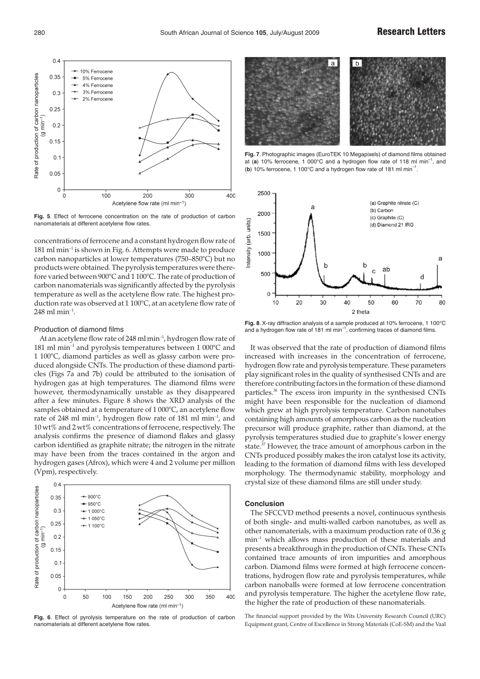

**Fig. 5**. Effect of ferrocene concentration on the rate of production of carbon nanomaterials at different acetylene flow rates.

concentrations of ferrocene and a constant hydrogen flow rate of 181 ml min–1 is shown in Fig. 6. Attempts were made to produce carbon nanoparticles at lower temperatures (750–850°C) but no products were obtained. The pyrolysis temperatures were therefore varied between 900°C and 1 100°C. The rate of production of carbon nanomaterials was significantly affected by the pyrolysis temperature as well as the acetylene flow rate. The highest production rate was observed at 1 100°C, at an acetylene flow rate of  $248$  ml min<sup>-1</sup>.

#### Production of diamond films

At an acetylene flow rate of 248 ml min<sup>-1</sup>, hydrogen flow rate of 181 ml min<sup>-1</sup> and pyrolysis temperatures between 1 000°C and 1 100°C, diamond particles as well as glassy carbon were produced alongside CNTs. The production of these diamond particles (Figs 7a and 7b) could be attributed to the ionisation of hydrogen gas at high temperatures. The diamond films were however, thermodynamically unstable as they disappeared after a few minutes. Figure 8 shows the XRD analysis of the samples obtained at a temperature of 1 000°C, an acetylene flow rate of 248 ml min–1, hydrogen flow rate of 181 ml min–1, and 10 wt% and 2 wt% concentrations of ferrocene, respectively. The analysis confirms the presence of diamond flakes and glassy carbon identified as graphite nitrate; the nitrogen in the nitrate may have been from the traces contained in the argon and hydrogen gases (Afrox), which were 4 and 2 volume per million (Vpm), respectively.



**Fig. 6**. Effect of pyrolysis temperature on the rate of production of carbon nanomaterials at different acetylene flow rates.



**Fig. 7**. Photographic images (EuroTEK 10 Megapixels) of diamond films obtained at (**a**) 10% ferrocene, 1 000°C and a hydrogen flow rate of 118 ml min–1, and (**b**) 10% ferrocene, 1 100°C and a hydrogen flow rate of 181 ml min–1.



**Fig. 8**. X-ray diffraction analysis of a sample produced at 10% ferrocene, 1 100°C and a hydrogen flow rate of 181 ml min<sup>-1</sup>, confirming traces of diamond films.

It was observed that the rate of production of diamond films increased with increases in the concentration of ferrocene, hydrogen flow rate and pyrolysis temperature. These parameters play significant roles in the quality of synthesised CNTs and are therefore contributing factors in the formation of these diamond particles.<sup>36</sup> The excess iron impurity in the synthesised CNTs might have been responsible for the nucleation of diamond which grew at high pyrolysis temperature. Carbon nanotubes containing high amounts of amorphous carbon as the nucleation precursor will produce graphite, rather than diamond, at the pyrolysis temperatures studied due to graphite's lower energy state.37 However, the trace amount of amorphous carbon in the CNTs produced possibly makes the iron catalyst lose its activity, leading to the formation of diamond films with less developed morphology. The thermodynamic stability, morphology and crystal size of these diamond films are still under study.

#### **Conclusion**

The SFCCVD method presents a novel, continuous synthesis of both single- and multi-walled carbon nanotubes, as well as other nanomaterials, with a maximum production rate of 0.36 g min–1 which allows mass production of these materials and presents a breakthrough in the production of CNTs. These CNTs contained trace amounts of iron impurities and amorphous carbon. Diamond films were formed at high ferrocene concentrations, hydrogen flow rate and pyrolysis temperatures, while carbon nanoballs were formed at low ferrocene concentration and pyrolysis temperature. The higher the acetylene flow rate, the higher the rate of production of these nanomaterials.

The financial support provided by the Wits University Research Council (URC) Equipment grant, Centre of Excellence in Strong Materials (CoE-SM) and the Vaal